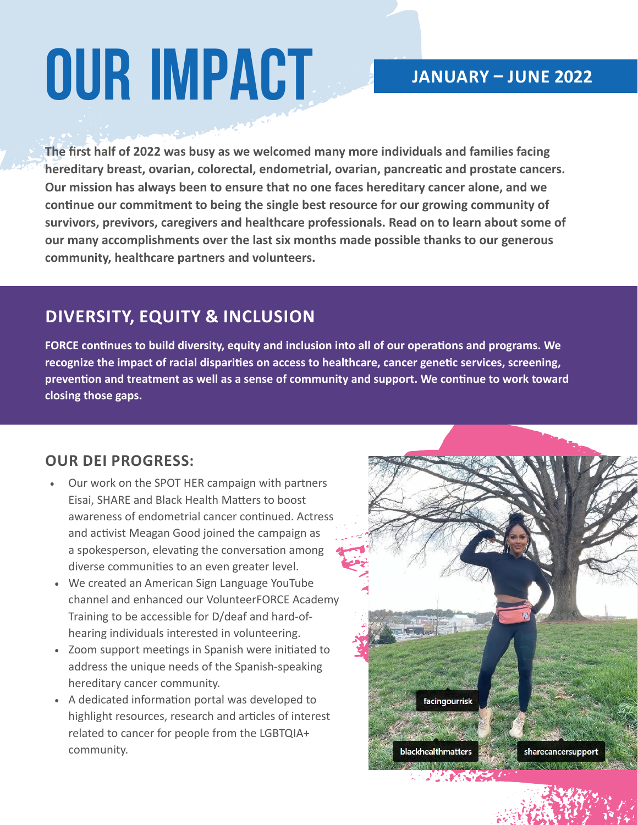# **Our Impact**

## **JANUARY – JUNE 2022**

**The first half of 2022 was busy as we welcomed many more individuals and families facing hereditary breast, ovarian, colorectal, endometrial, ovarian, pancreatic and prostate cancers. Our mission has always been to ensure that no one faces hereditary cancer alone, and we continue our commitment to being the single best resource for our growing community of survivors, previvors, caregivers and healthcare professionals. Read on to learn about some of our many accomplishments over the last six months made possible thanks to our generous community, healthcare partners and volunteers.** 

# **DIVERSITY, EQUITY & INCLUSION**

**FORCE continues to build diversity, equity and inclusion into all of our operations and programs. We recognize the impact of racial disparities on access to healthcare, cancer genetic services, screening, prevention and treatment as well as a sense of community and support. We continue to work toward closing those gaps.**

### **OUR DEI PROGRESS:**

- Our work on the SPOT HER campaign with partners Eisai, SHARE and Black Health Matters to boost awareness of endometrial cancer continued. Actress and activist Meagan Good joined the campaign as a spokesperson, elevating the conversation among diverse communities to an even greater level.
- We created an American Sign Language YouTube channel and enhanced our VolunteerFORCE Academy Training to be accessible for D/deaf and hard-ofhearing individuals interested in volunteering.
- Zoom support meetings in Spanish were initiated to address the unique needs of the Spanish-speaking hereditary cancer community.
- A dedicated information portal was developed to highlight resources, research and articles of interest related to cancer for people from the LGBTQIA+ community.